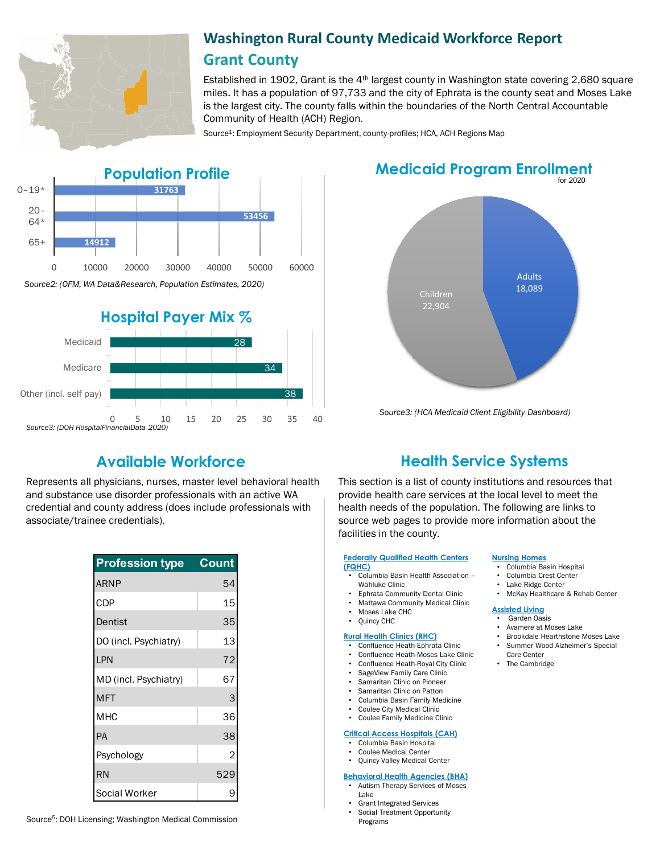

# **Washington Rural County Medicaid Workforce Report Grant County**

Established in 1902, Grant is the  $4<sup>th</sup>$  largest county in Washington state covering 2,680 square miles. It has a population of 97,733 and the city of Ephrata is the county seat and Moses Lake is the largest city. The county falls within the boundaries of the North Central Accountable Community of Health (ACH) Region.

Source<sup>1</sup>: Employment Security Department, county-profiles; HCA, ACH Regions Map





# **Medicaid Program Enrollment**



*Source3: (HCA Medicaid Client Eligibility Dashboard)*

Represents all physicians, nurses, master level behavioral health and substance use disorder professionals with an active WA credential and county address (does include professionals with associate/trainee credentials).

| <b>Profession type</b> | <b>Count</b> |
|------------------------|--------------|
| <b>ARNP</b>            | 54           |
| CDP                    | 15           |
| Dentist                | 35           |
| DO (incl. Psychiatry)  | 13           |
| LPN                    | 72           |
| MD (incl. Psychiatry)  | 67           |
| <b>MFT</b>             | 3            |
| <b>MHC</b>             | 36           |
| PA                     | 38           |
| Psychology             | 2            |
| <b>RN</b>              | 529          |
| Social Worker          | 9            |

# **Available Workforce Health Service Systems**

This section is a list of county institutions and resources that provide health care services at the local level to meet the health needs of the population. The following are links to source web pages to provide more information about the facilities in the county.

#### **[Federally Qualified Health Centers](https://www.wacommunityhealth.org/)  (FQHC)**

- Columbia Basin Health Association –
- Wahluke Clinic
- Ephrata Community Dental Clinic
- Mattawa Community Medical Clinic
- Moses Lake CHC • Quincy CHC
- 

## **[Rural Health Clinics \(RHC\)](https://data.hrsa.gov/)**

- Confluence Heath-Ephrata Clinic
- Confluence Heath-Moses Lake Clinic
- Confluence Heath-Royal City Clinic
- SageView Family Care Clinic • Samaritan Clinic on Pioneer
- 
- Samaritan Clinic on Patton<br>• Columbia Basin Family Mee • Columbia Basin Family Medicine
- Coulee City Medical Clinic
- Coulee Family Medicine Clinic

#### **[Critical Access Hospitals \(CAH\)](https://www.doh.wa.gov/ForPublicHealthandHealthcareProviders/RuralHealth/RuralHealthSystems)**

- Columbia Basin Hospital
- Coulee Medical Center
- Quincy Valley Medical Center

#### **[Behavioral Health Agencies \(BHA\)](https://www.doh.wa.gov/LicensesPermitsandCertificates/ProviderCredentialSearch)**

- Autism Therapy Services of Moses Lake
- Grant Integrated Services
- 
- **[Nursing Homes](https://fortress.wa.gov/dshs/adsaapps/lookup/NHPubLookup.aspx)** • Columbia Basin Hospital
	- Columbia Crest Center<br>• Lake Ridge Center
	- Lake Ridge Center
	- McKay Healthcare & Rehab Center

### **[Assisted Living](https://fortress.wa.gov/dshs/adsaapps/lookup/BHPubLookup.aspx)**

- Garden Oasis
- Avamere at Moses Lake
- Brookdale Hearthstone Moses Lake • Summer Wood Alzheimer's Special Care Center
- The Cambridge